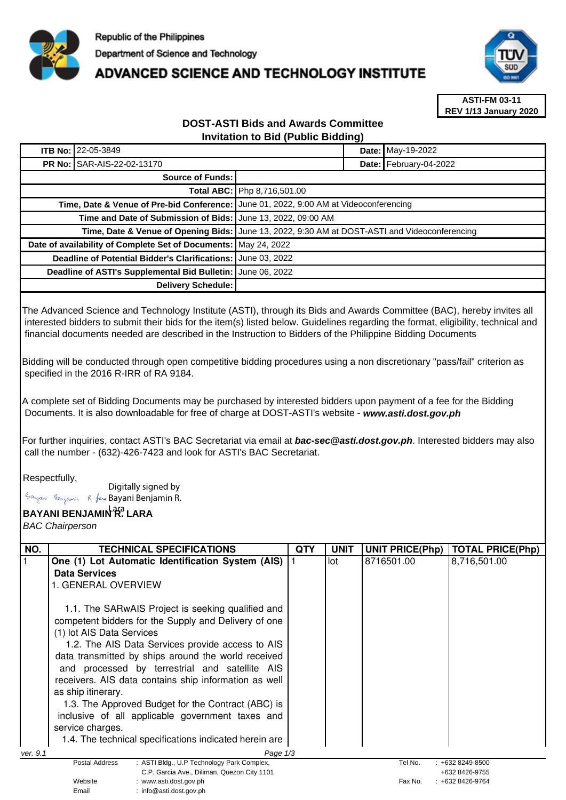

## **ADVANCED SCIENCE AND TECHNOLOGY INSTITUTE**



**ASTI-FM 03-11 REV 1/13 January 2020**

## **DOST-ASTI Bids and Awards Committee Invitation to Bid (Public Bidding)**

| <b>ITB No: 22-05-3849</b>                                       | Date: May-19-2022                                                                             |  |  |  |
|-----------------------------------------------------------------|-----------------------------------------------------------------------------------------------|--|--|--|
| <b>PR No: SAR-AIS-22-02-13170</b>                               | Date: February-04-2022                                                                        |  |  |  |
| Source of Funds:                                                |                                                                                               |  |  |  |
|                                                                 | Total ABC: Php 8,716,501.00                                                                   |  |  |  |
|                                                                 | Time, Date & Venue of Pre-bid Conference: June 01, 2022, 9:00 AM at Videoconferencing         |  |  |  |
| Time and Date of Submission of Bids: June 13, 2022, 09:00 AM    |                                                                                               |  |  |  |
|                                                                 | Time, Date & Venue of Opening Bids: June 13, 2022, 9:30 AM at DOST-ASTI and Videoconferencing |  |  |  |
| Date of availability of Complete Set of Documents: May 24, 2022 |                                                                                               |  |  |  |
| <b>Deadline of Potential Bidder's Clarifications:</b>           | <b>June 03, 2022</b>                                                                          |  |  |  |
| Deadline of ASTI's Supplemental Bid Bulletin: June 06, 2022     |                                                                                               |  |  |  |
| Delivery Schedule:                                              |                                                                                               |  |  |  |

The Advanced Science and Technology Institute (ASTI), through its Bids and Awards Committee (BAC), hereby invites all interested bidders to submit their bids for the item(s) listed below. Guidelines regarding the format, eligibility, technical and financial documents needed are described in the Instruction to Bidders of the Philippine Bidding Documents

Bidding will be conducted through open competitive bidding procedures using a non discretionary "pass/fail" criterion as specified in the 2016 R-IRR of RA 9184.

A complete set of Bidding Documents may be purchased by interested bidders upon payment of a fee for the Bidding Documents. It is also downloadable for free of charge at DOST-ASTI's website - **www.asti.dost.gov.ph**

For further inquiries, contact ASTI's BAC Secretariat via email at **bac-sec@asti.dost.gov.ph**. Interested bidders may also call the number - (632)-426-7423 and look for ASTI's BAC Secretariat.

## Respectfully,

Digitally signed by Bayani Benjamin R. fan Bayani Benjamin R.

Email : info@asti.dost.gov.ph

## **BAYANI BENJAMIN R. LARA**  Lara

BAC Chairperson

| NO.                  | <b>TECHNICAL SPECIFICATIONS</b>                                                                                                                                                                                                                                                                                                                                                                                                                                                                                                                                             | QTY | <b>UNIT</b> | <b>UNIT PRICE(Php)</b> | <b>TOTAL PRICE(Php)</b>               |
|----------------------|-----------------------------------------------------------------------------------------------------------------------------------------------------------------------------------------------------------------------------------------------------------------------------------------------------------------------------------------------------------------------------------------------------------------------------------------------------------------------------------------------------------------------------------------------------------------------------|-----|-------------|------------------------|---------------------------------------|
|                      | One (1) Lot Automatic Identification System (AIS)                                                                                                                                                                                                                                                                                                                                                                                                                                                                                                                           |     | lot         | 8716501.00             | 8,716,501.00                          |
|                      | Data Services                                                                                                                                                                                                                                                                                                                                                                                                                                                                                                                                                               |     |             |                        |                                       |
|                      | 1. GENERAL OVERVIEW                                                                                                                                                                                                                                                                                                                                                                                                                                                                                                                                                         |     |             |                        |                                       |
|                      | 1.1. The SARwAIS Project is seeking qualified and<br>competent bidders for the Supply and Delivery of one<br>(1) lot AIS Data Services<br>1.2. The AIS Data Services provide access to AIS<br>data transmitted by ships around the world received<br>and processed by terrestrial and satellite AIS<br>receivers. AIS data contains ship information as well<br>as ship itinerary.<br>1.3. The Approved Budget for the Contract (ABC) is<br>inclusive of all applicable government taxes and<br>service charges.<br>1.4. The technical specifications indicated herein are. |     |             |                        |                                       |
| ver. 9.1<br>Page 1/3 |                                                                                                                                                                                                                                                                                                                                                                                                                                                                                                                                                                             |     |             |                        |                                       |
|                      | : ASTI Bldg., U.P Technology Park Complex,<br>Postal Address                                                                                                                                                                                                                                                                                                                                                                                                                                                                                                                |     |             | Tel No.                | $: +6328249 - 8500$                   |
|                      | C.P. Garcia Ave., Diliman, Quezon City 1101<br>Website<br>: www.asti.dost.gov.ph                                                                                                                                                                                                                                                                                                                                                                                                                                                                                            |     |             | Fax No.                | +632 8426-9755<br>$: +6328426 - 9764$ |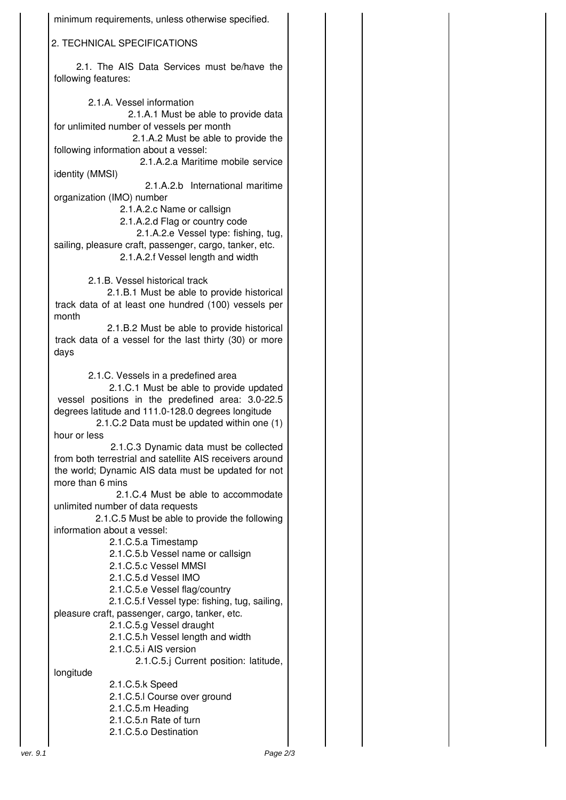| minimum requirements, unless otherwise specified.                                                                                                                                                                                                                     |  |  |  |  |  |
|-----------------------------------------------------------------------------------------------------------------------------------------------------------------------------------------------------------------------------------------------------------------------|--|--|--|--|--|
| 2. TECHNICAL SPECIFICATIONS                                                                                                                                                                                                                                           |  |  |  |  |  |
| 2.1. The AIS Data Services must be/have the<br>following features:                                                                                                                                                                                                    |  |  |  |  |  |
| 2.1.A. Vessel information                                                                                                                                                                                                                                             |  |  |  |  |  |
| 2.1.A.1 Must be able to provide data<br>for unlimited number of vessels per month<br>2.1.A.2 Must be able to provide the                                                                                                                                              |  |  |  |  |  |
| following information about a vessel:<br>2.1.A.2.a Maritime mobile service                                                                                                                                                                                            |  |  |  |  |  |
| identity (MMSI)                                                                                                                                                                                                                                                       |  |  |  |  |  |
| 2.1.A.2.b International maritime<br>organization (IMO) number<br>2.1.A.2.c Name or callsign<br>2.1.A.2.d Flag or country code<br>2.1.A.2.e Vessel type: fishing, tug,<br>sailing, pleasure craft, passenger, cargo, tanker, etc.<br>2.1.A.2.f Vessel length and width |  |  |  |  |  |
|                                                                                                                                                                                                                                                                       |  |  |  |  |  |
| 2.1.B. Vessel historical track<br>2.1.B.1 Must be able to provide historical                                                                                                                                                                                          |  |  |  |  |  |
| track data of at least one hundred (100) vessels per<br>month                                                                                                                                                                                                         |  |  |  |  |  |
| 2.1.B.2 Must be able to provide historical<br>track data of a vessel for the last thirty (30) or more<br>days                                                                                                                                                         |  |  |  |  |  |
| 2.1.C. Vessels in a predefined area                                                                                                                                                                                                                                   |  |  |  |  |  |
| 2.1.C.1 Must be able to provide updated<br>vessel positions in the predefined area: 3.0-22.5<br>degrees latitude and 111.0-128.0 degrees longitude<br>2.1.C.2 Data must be updated within one (1)<br>hour or less                                                     |  |  |  |  |  |
| 2.1.C.3 Dynamic data must be collected                                                                                                                                                                                                                                |  |  |  |  |  |
| from both terrestrial and satellite AIS receivers around<br>the world; Dynamic AIS data must be updated for not<br>more than 6 mins                                                                                                                                   |  |  |  |  |  |
| 2.1.C.4 Must be able to accommodate<br>unlimited number of data requests                                                                                                                                                                                              |  |  |  |  |  |
| 2.1.C.5 Must be able to provide the following                                                                                                                                                                                                                         |  |  |  |  |  |
| information about a vessel:<br>2.1.C.5.a Timestamp                                                                                                                                                                                                                    |  |  |  |  |  |
| 2.1.C.5.b Vessel name or callsign                                                                                                                                                                                                                                     |  |  |  |  |  |
| 2.1.C.5.c Vessel MMSI                                                                                                                                                                                                                                                 |  |  |  |  |  |
| 2.1.C.5.d Vessel IMO<br>2.1.C.5.e Vessel flag/country                                                                                                                                                                                                                 |  |  |  |  |  |
| 2.1.C.5.f Vessel type: fishing, tug, sailing,                                                                                                                                                                                                                         |  |  |  |  |  |
| pleasure craft, passenger, cargo, tanker, etc.                                                                                                                                                                                                                        |  |  |  |  |  |
| 2.1.C.5.g Vessel draught                                                                                                                                                                                                                                              |  |  |  |  |  |
| 2.1.C.5.h Vessel length and width<br>2.1.C.5.i AIS version                                                                                                                                                                                                            |  |  |  |  |  |
| 2.1.C.5.j Current position: latitude,                                                                                                                                                                                                                                 |  |  |  |  |  |
| longitude                                                                                                                                                                                                                                                             |  |  |  |  |  |
| 2.1.C.5.k Speed                                                                                                                                                                                                                                                       |  |  |  |  |  |
| 2.1.C.5.I Course over ground<br>2.1.C.5.m Heading                                                                                                                                                                                                                     |  |  |  |  |  |
| 2.1.C.5.n Rate of turn                                                                                                                                                                                                                                                |  |  |  |  |  |
| 2.1.C.5.o Destination                                                                                                                                                                                                                                                 |  |  |  |  |  |